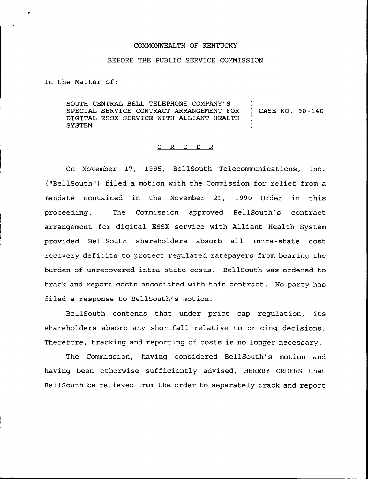## COMMONWEALTH OF KENTUCKY

## BEFORE THE PUBLIC SERVICE COMMISSION

In the Matter of:

SOUTH CENTRAL BELL TELEPHONE COMPANY'S )<br>SPECIAL SERVICE CONTRACT ARRANGEMENT FOR ) CASE NO. 90-140 SPECIAL SERVICE CONTRACT ARRANGEMENT FOR DIGITAL ESSX SERVICE NITH ALLIANT HEALTH ) **SYSTEM** 

## O R D E R

On November 17, 1995, BellSouth Telecommunications, Inc. ("BellSouth") filed a motion with the Commission for relief from a mandate contained in the November 21, 1990 Order in this proceeding. The Commission approved BellSouth's contract arrangement for digital ESSX service with Alliant Health System provided BellSouth shareholders absorb all intra-state cost recovery deficits to protect regulated ratepayers from bearing the burden of unrecovered intra-state costs. BellSouth was ordered to track and report costs associated with this contract. No party has filed a response to BellSouth's motion.

BellSouth contends that under price cap regulation, its shareholders absorb any shortfall relative to pricing decisions. Therefore, tracking and reporting of costs is no longer necessary.

The Commission, having considered BellSouth's motion and having been otherwise sufficiently advised, HEREBY ORDERS that BellSouth be relieved from the order to separately track and report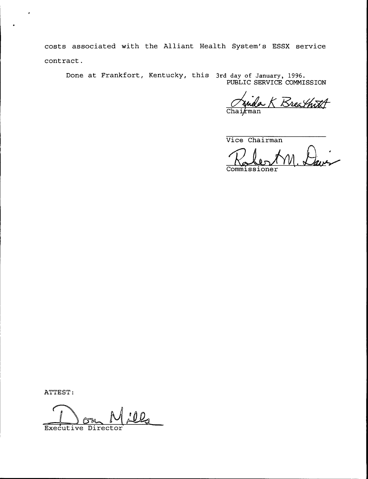costs associated with the Alliant Health System's ESSX service contract.

Done at Frankfort, Kentucky, this 3rd day of January, 1996. PUBLIC SERVICE COMMISSION

Rrea that A man

Vice Chairman

**Commissioner** 

ATTEST:

×

<u>ills</u> Executive Directo